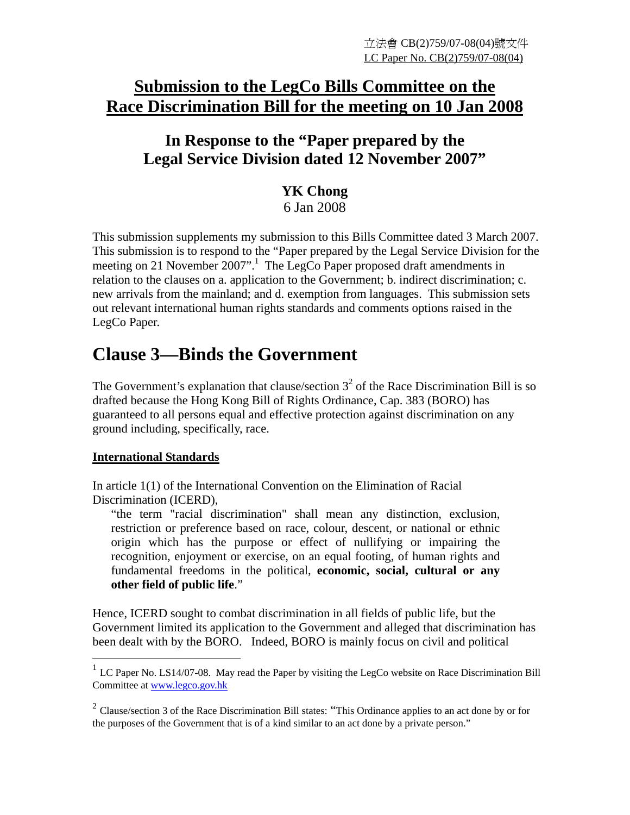## **Submission to the LegCo Bills Committee on the Race Discrimination Bill for the meeting on 10 Jan 2008**

## **In Response to the "Paper prepared by the Legal Service Division dated 12 November 2007"**

### **YK Chong**  6 Jan 2008

This submission supplements my submission to this Bills Committee dated 3 March 2007. This submission is to respond to the "Paper prepared by the Legal Service Division for the meeting on 21 November 2007".<sup>1</sup> The LegCo Paper proposed draft amendments in relation to the clauses on a. application to the Government; b. indirect discrimination; c. new arrivals from the mainland; and d. exemption from languages. This submission sets out relevant international human rights standards and comments options raised in the LegCo Paper.

# **Clause 3—Binds the Government**

The Government's explanation that clause/section  $3^2$  of the Race Discrimination Bill is so drafted because the Hong Kong Bill of Rights Ordinance, Cap. 383 (BORO) has guaranteed to all persons equal and effective protection against discrimination on any ground including, specifically, race.

#### **International Standards**

 $\overline{a}$ 

In article 1(1) of the International Convention on the Elimination of Racial Discrimination (ICERD),

"the term "racial discrimination" shall mean any distinction, exclusion, restriction or preference based on race, colour, descent, or national or ethnic origin which has the purpose or effect of nullifying or impairing the recognition, enjoyment or exercise, on an equal footing, of human rights and fundamental freedoms in the political, **economic, social, cultural or any other field of public life**."

Hence, ICERD sought to combat discrimination in all fields of public life, but the Government limited its application to the Government and alleged that discrimination has been dealt with by the BORO. Indeed, BORO is mainly focus on civil and political

 $1 \text{ LC Paper No.}$  LS14/07-08. May read the Paper by visiting the LegCo website on Race Discrimination Bill Committee at www.legco.gov.hk

<sup>2</sup> Clause/section 3 of the Race Discrimination Bill states: "This Ordinance applies to an act done by or for the purposes of the Government that is of a kind similar to an act done by a private person."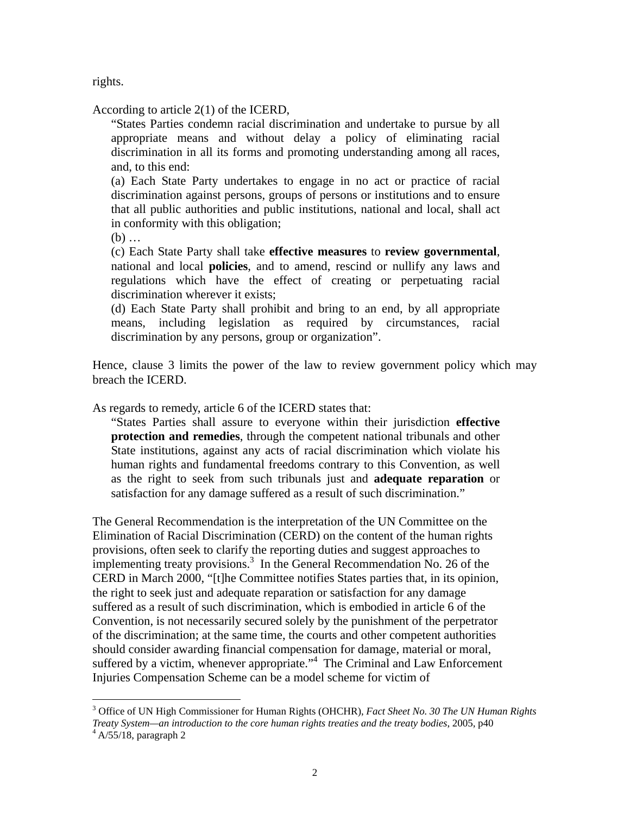rights.

According to article 2(1) of the ICERD,

"States Parties condemn racial discrimination and undertake to pursue by all appropriate means and without delay a policy of eliminating racial discrimination in all its forms and promoting understanding among all races, and, to this end:

(a) Each State Party undertakes to engage in no act or practice of racial discrimination against persons, groups of persons or institutions and to ensure that all public authorities and public institutions, national and local, shall act in conformity with this obligation;

(b) …

 $\overline{a}$ 

(c) Each State Party shall take **effective measures** to **review governmental**, national and local **policies**, and to amend, rescind or nullify any laws and regulations which have the effect of creating or perpetuating racial discrimination wherever it exists;

(d) Each State Party shall prohibit and bring to an end, by all appropriate means, including legislation as required by circumstances, racial discrimination by any persons, group or organization".

Hence, clause 3 limits the power of the law to review government policy which may breach the ICERD.

As regards to remedy, article 6 of the ICERD states that:

"States Parties shall assure to everyone within their jurisdiction **effective protection and remedies**, through the competent national tribunals and other State institutions, against any acts of racial discrimination which violate his human rights and fundamental freedoms contrary to this Convention, as well as the right to seek from such tribunals just and **adequate reparation** or satisfaction for any damage suffered as a result of such discrimination."

The General Recommendation is the interpretation of the UN Committee on the Elimination of Racial Discrimination (CERD) on the content of the human rights provisions, often seek to clarify the reporting duties and suggest approaches to implementing treaty provisions.<sup>3</sup> In the General Recommendation No. 26 of the CERD in March 2000, "[t]he Committee notifies States parties that, in its opinion, the right to seek just and adequate reparation or satisfaction for any damage suffered as a result of such discrimination, which is embodied in article 6 of the Convention, is not necessarily secured solely by the punishment of the perpetrator of the discrimination; at the same time, the courts and other competent authorities should consider awarding financial compensation for damage, material or moral, suffered by a victim, whenever appropriate."<sup>4</sup> The Criminal and Law Enforcement Injuries Compensation Scheme can be a model scheme for victim of

<sup>3</sup> Office of UN High Commissioner for Human Rights (OHCHR), *Fact Sheet No. 30 The UN Human Rights Treaty System—an introduction to the core human rights treaties and the treaty bodies*, 2005, p40 4  $4$  A/55/18, paragraph 2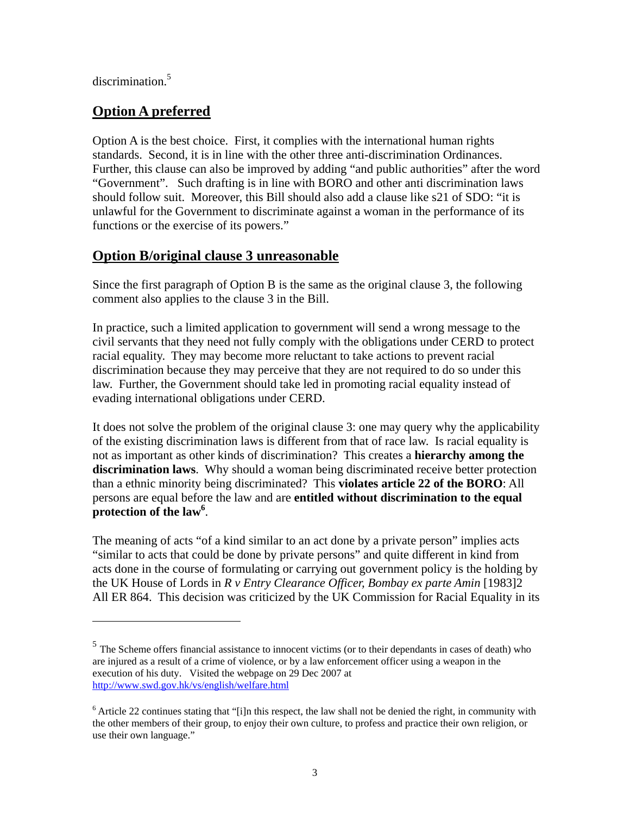discrimination.<sup>5</sup>

 $\overline{a}$ 

### **Option A preferred**

Option A is the best choice. First, it complies with the international human rights standards. Second, it is in line with the other three anti-discrimination Ordinances. Further, this clause can also be improved by adding "and public authorities" after the word "Government". Such drafting is in line with BORO and other anti discrimination laws should follow suit. Moreover, this Bill should also add a clause like s21 of SDO: "it is unlawful for the Government to discriminate against a woman in the performance of its functions or the exercise of its powers."

#### **Option B/original clause 3 unreasonable**

Since the first paragraph of Option B is the same as the original clause 3, the following comment also applies to the clause 3 in the Bill.

In practice, such a limited application to government will send a wrong message to the civil servants that they need not fully comply with the obligations under CERD to protect racial equality. They may become more reluctant to take actions to prevent racial discrimination because they may perceive that they are not required to do so under this law. Further, the Government should take led in promoting racial equality instead of evading international obligations under CERD.

It does not solve the problem of the original clause 3: one may query why the applicability of the existing discrimination laws is different from that of race law. Is racial equality is not as important as other kinds of discrimination? This creates a **hierarchy among the discrimination laws**. Why should a woman being discriminated receive better protection than a ethnic minority being discriminated? This **violates article 22 of the BORO**: All persons are equal before the law and are **entitled without discrimination to the equal protection of the law<sup>6</sup>.** 

The meaning of acts "of a kind similar to an act done by a private person" implies acts "similar to acts that could be done by private persons" and quite different in kind from acts done in the course of formulating or carrying out government policy is the holding by the UK House of Lords in *R v Entry Clearance Officer, Bombay ex parte Amin* [1983]2 All ER 864. This decision was criticized by the UK Commission for Racial Equality in its

<sup>&</sup>lt;sup>5</sup> The Scheme offers financial assistance to innocent victims (or to their dependants in cases of death) who are injured as a result of a crime of violence, or by a law enforcement officer using a weapon in the execution of his duty. Visited the webpage on 29 Dec 2007 at http://www.swd.gov.hk/vs/english/welfare.html

 $6$  Article 22 continues stating that "[i]n this respect, the law shall not be denied the right, in community with the other members of their group, to enjoy their own culture, to profess and practice their own religion, or use their own language."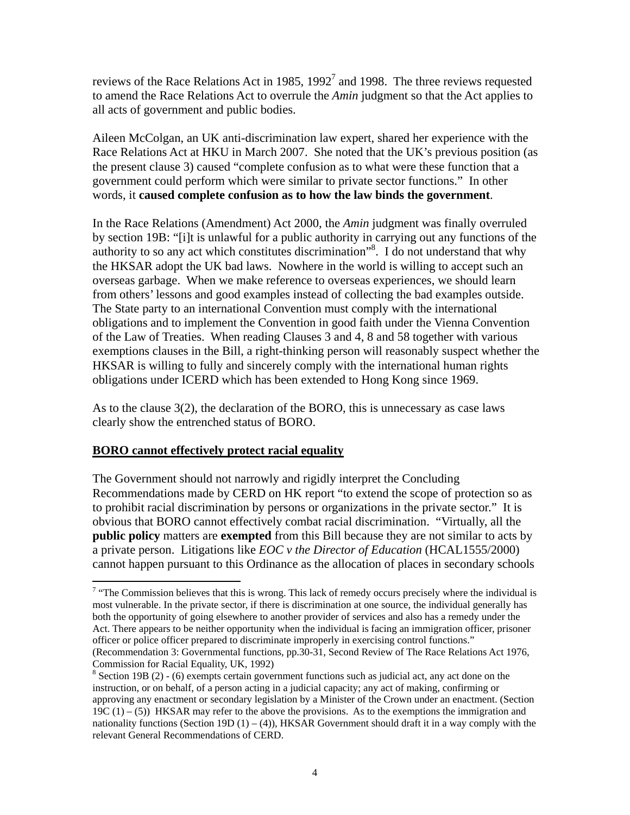reviews of the Race Relations Act in 1985, 1992<sup>7</sup> and 1998. The three reviews requested to amend the Race Relations Act to overrule the *Amin* judgment so that the Act applies to all acts of government and public bodies.

Aileen McColgan, an UK anti-discrimination law expert, shared her experience with the Race Relations Act at HKU in March 2007. She noted that the UK's previous position (as the present clause 3) caused "complete confusion as to what were these function that a government could perform which were similar to private sector functions." In other words, it **caused complete confusion as to how the law binds the government**.

In the Race Relations (Amendment) Act 2000, the *Amin* judgment was finally overruled by section 19B: "[i]t is unlawful for a public authority in carrying out any functions of the authority to so any act which constitutes discrimination"<sup>8</sup>. I do not understand that why the HKSAR adopt the UK bad laws. Nowhere in the world is willing to accept such an overseas garbage. When we make reference to overseas experiences, we should learn from others' lessons and good examples instead of collecting the bad examples outside. The State party to an international Convention must comply with the international obligations and to implement the Convention in good faith under the Vienna Convention of the Law of Treaties. When reading Clauses 3 and 4, 8 and 58 together with various exemptions clauses in the Bill, a right-thinking person will reasonably suspect whether the HKSAR is willing to fully and sincerely comply with the international human rights obligations under ICERD which has been extended to Hong Kong since 1969.

As to the clause  $3(2)$ , the declaration of the BORO, this is unnecessary as case laws clearly show the entrenched status of BORO.

#### **BORO cannot effectively protect racial equality**

 $\overline{a}$ 

The Government should not narrowly and rigidly interpret the Concluding Recommendations made by CERD on HK report "to extend the scope of protection so as to prohibit racial discrimination by persons or organizations in the private sector." It is obvious that BORO cannot effectively combat racial discrimination. "Virtually, all the **public policy** matters are **exempted** from this Bill because they are not similar to acts by a private person. Litigations like *EOC v the Director of Education* (HCAL1555/2000) cannot happen pursuant to this Ordinance as the allocation of places in secondary schools

 $7$  "The Commission believes that this is wrong. This lack of remedy occurs precisely where the individual is most vulnerable. In the private sector, if there is discrimination at one source, the individual generally has both the opportunity of going elsewhere to another provider of services and also has a remedy under the Act. There appears to be neither opportunity when the individual is facing an immigration officer, prisoner officer or police officer prepared to discriminate improperly in exercising control functions." (Recommendation 3: Governmental functions, pp.30-31, Second Review of The Race Relations Act 1976, Commission for Racial Equality, UK, 1992)

 $8$  Section 19B (2) - (6) exempts certain government functions such as judicial act, any act done on the instruction, or on behalf, of a person acting in a judicial capacity; any act of making, confirming or approving any enactment or secondary legislation by a Minister of the Crown under an enactment. (Section  $19C (1) - (5)$ ) HKSAR may refer to the above the provisions. As to the exemptions the immigration and nationality functions (Section 19D  $(1) - (4)$ ), HKSAR Government should draft it in a way comply with the relevant General Recommendations of CERD.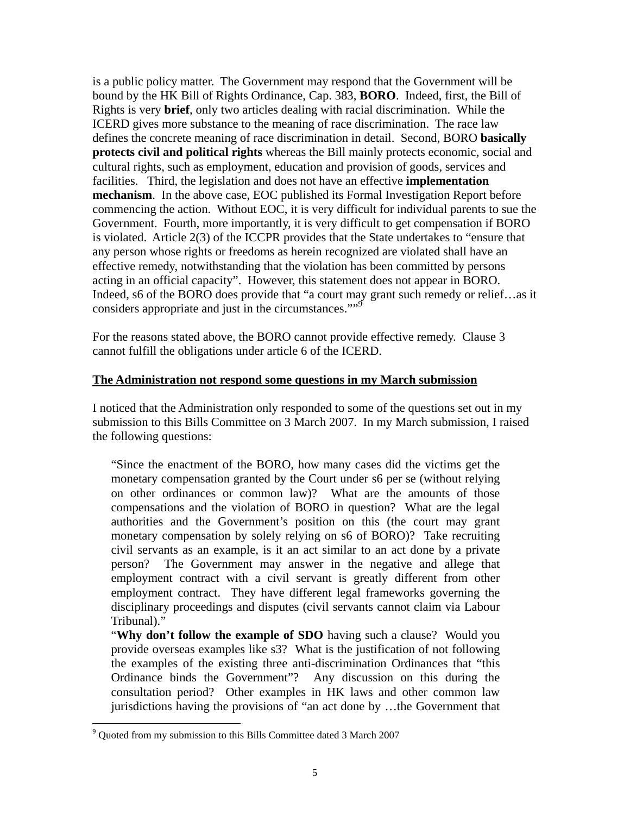is a public policy matter. The Government may respond that the Government will be bound by the HK Bill of Rights Ordinance, Cap. 383, **BORO**. Indeed, first, the Bill of Rights is very **brief**, only two articles dealing with racial discrimination. While the ICERD gives more substance to the meaning of race discrimination. The race law defines the concrete meaning of race discrimination in detail. Second, BORO **basically protects civil and political rights** whereas the Bill mainly protects economic, social and cultural rights, such as employment, education and provision of goods, services and facilities. Third, the legislation and does not have an effective **implementation mechanism**. In the above case, EOC published its Formal Investigation Report before commencing the action. Without EOC, it is very difficult for individual parents to sue the Government. Fourth, more importantly, it is very difficult to get compensation if BORO is violated. Article 2(3) of the ICCPR provides that the State undertakes to "ensure that any person whose rights or freedoms as herein recognized are violated shall have an effective remedy, notwithstanding that the violation has been committed by persons acting in an official capacity". However, this statement does not appear in BORO. Indeed, s6 of the BORO does provide that "a court may grant such remedy or relief…as it considers appropriate and just in the circumstances."<sup>"9</sup>

For the reasons stated above, the BORO cannot provide effective remedy. Clause 3 cannot fulfill the obligations under article 6 of the ICERD.

#### **The Administration not respond some questions in my March submission**

I noticed that the Administration only responded to some of the questions set out in my submission to this Bills Committee on 3 March 2007. In my March submission, I raised the following questions:

"Since the enactment of the BORO, how many cases did the victims get the monetary compensation granted by the Court under s6 per se (without relying on other ordinances or common law)? What are the amounts of those compensations and the violation of BORO in question? What are the legal authorities and the Government's position on this (the court may grant monetary compensation by solely relying on s6 of BORO)? Take recruiting civil servants as an example, is it an act similar to an act done by a private person? The Government may answer in the negative and allege that employment contract with a civil servant is greatly different from other employment contract. They have different legal frameworks governing the disciplinary proceedings and disputes (civil servants cannot claim via Labour Tribunal)."

"Why don't follow the example of SDO having such a clause? Would you provide overseas examples like s3?What is the justification of not following the examples of the existing three anti-discrimination Ordinances that "this Ordinance binds the Government"? Any discussion on this during the consultation period? Other examples in HK laws and other common law jurisdictions having the provisions of "an act done by …the Government that

<sup>&</sup>lt;sup>9</sup> Quoted from my submission to this Bills Committee dated 3 March 2007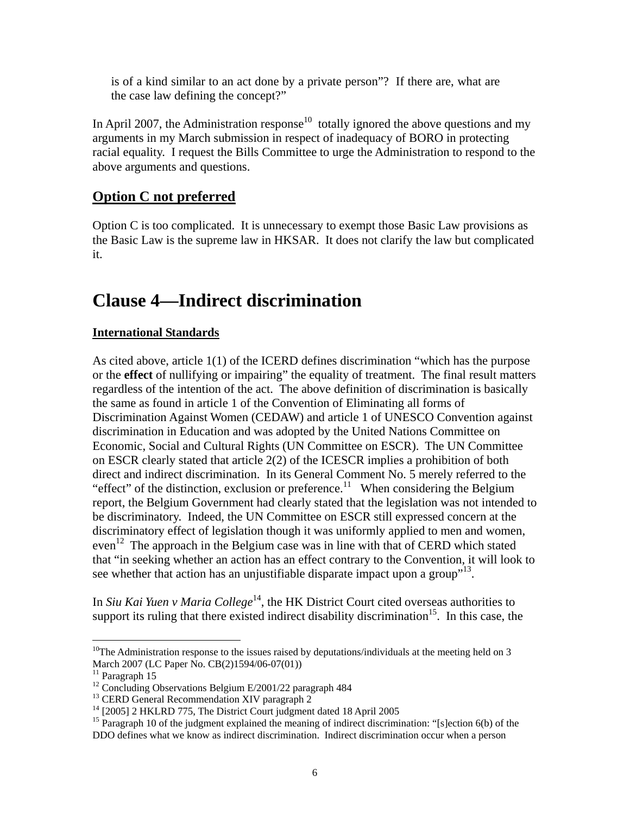is of a kind similar to an act done by a private person"? If there are, what are the case law defining the concept?"

In April 2007, the Administration response<sup>10</sup> totally ignored the above questions and my arguments in my March submission in respect of inadequacy of BORO in protecting racial equality. I request the Bills Committee to urge the Administration to respond to the above arguments and questions.

#### **Option C not preferred**

Option C is too complicated. It is unnecessary to exempt those Basic Law provisions as the Basic Law is the supreme law in HKSAR. It does not clarify the law but complicated it.

## **Clause 4—Indirect discrimination**

#### **International Standards**

As cited above, article 1(1) of the ICERD defines discrimination "which has the purpose or the **effect** of nullifying or impairing" the equality of treatment. The final result matters regardless of the intention of the act. The above definition of discrimination is basically the same as found in article 1 of the Convention of Eliminating all forms of Discrimination Against Women (CEDAW) and article 1 of UNESCO Convention against discrimination in Education and was adopted by the United Nations Committee on Economic, Social and Cultural Rights (UN Committee on ESCR). The UN Committee on ESCR clearly stated that article 2(2) of the ICESCR implies a prohibition of both direct and indirect discrimination. In its General Comment No. 5 merely referred to the "effect" of the distinction, exclusion or preference.<sup>11</sup> When considering the Belgium report, the Belgium Government had clearly stated that the legislation was not intended to be discriminatory. Indeed, the UN Committee on ESCR still expressed concern at the discriminatory effect of legislation though it was uniformly applied to men and women, even<sup>12</sup> The approach in the Belgium case was in line with that of CERD which stated that "in seeking whether an action has an effect contrary to the Convention, it will look to see whether that action has an unjustifiable disparate impact upon a group"<sup>13</sup>.

In *Siu Kai Yuen v Maria College*<sup>14</sup>, the HK District Court cited overseas authorities to support its ruling that there existed indirect disability discrimination<sup>15</sup>. In this case, the

 $10$ The Administration response to the issues raised by deputations/individuals at the meeting held on 3 March 2007 (LC Paper No. CB(2)1594/06-07(01))

 $11$  Paragraph 15

<sup>&</sup>lt;sup>12</sup> Concluding Observations Belgium E/2001/22 paragraph 484

<sup>&</sup>lt;sup>13</sup> CERD General Recommendation XIV paragraph 2

 $14$  [2005] 2 HKLRD 775, The District Court judgment dated 18 April 2005

<sup>&</sup>lt;sup>15</sup> Paragraph 10 of the judgment explained the meaning of indirect discrimination: "[s]ection  $6(b)$  of the DDO defines what we know as indirect discrimination. Indirect discrimination occur when a person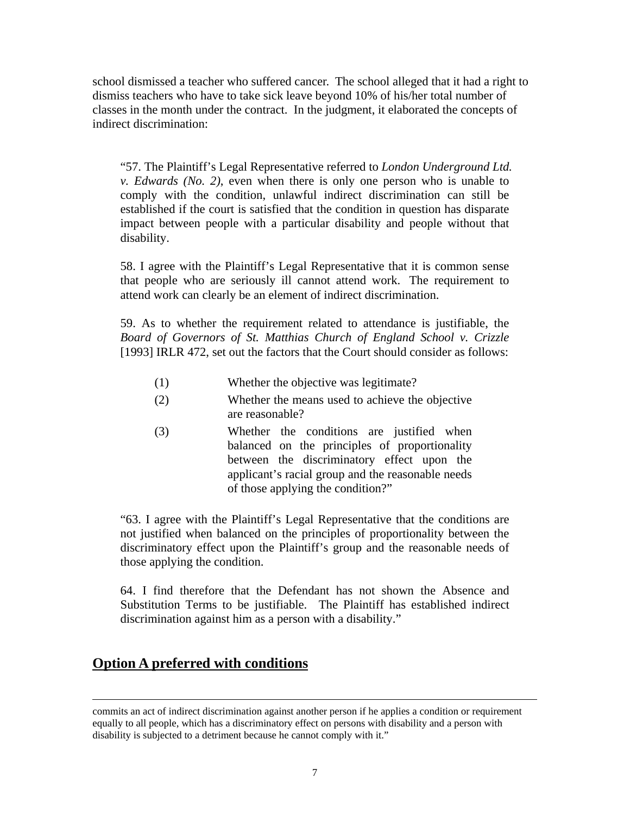school dismissed a teacher who suffered cancer. The school alleged that it had a right to dismiss teachers who have to take sick leave beyond 10% of his/her total number of classes in the month under the contract. In the judgment, it elaborated the concepts of indirect discrimination:

"57. The Plaintiff's Legal Representative referred to *London Underground Ltd. v. Edwards (No. 2)*, even when there is only one person who is unable to comply with the condition, unlawful indirect discrimination can still be established if the court is satisfied that the condition in question has disparate impact between people with a particular disability and people without that disability.

58. I agree with the Plaintiff's Legal Representative that it is common sense that people who are seriously ill cannot attend work. The requirement to attend work can clearly be an element of indirect discrimination.

59. As to whether the requirement related to attendance is justifiable, the *Board of Governors of St. Matthias Church of England School v. Crizzle* [1993] IRLR 472, set out the factors that the Court should consider as follows:

- (1) Whether the objective was legitimate?
- (2) Whether the means used to achieve the objective are reasonable?
- (3) Whether the conditions are justified when balanced on the principles of proportionality between the discriminatory effect upon the applicant's racial group and the reasonable needs of those applying the condition?"

"63. I agree with the Plaintiff's Legal Representative that the conditions are not justified when balanced on the principles of proportionality between the discriminatory effect upon the Plaintiff's group and the reasonable needs of those applying the condition.

64. I find therefore that the Defendant has not shown the Absence and Substitution Terms to be justifiable. The Plaintiff has established indirect discrimination against him as a person with a disability."

#### **Option A preferred with conditions**

commits an act of indirect discrimination against another person if he applies a condition or requirement equally to all people, which has a discriminatory effect on persons with disability and a person with disability is subjected to a detriment because he cannot comply with it."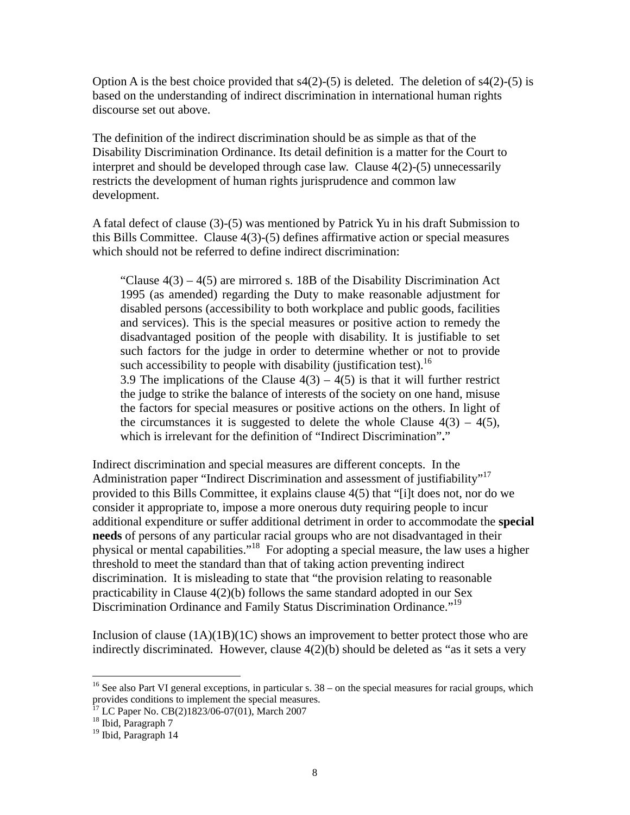Option A is the best choice provided that  $s(4(2)-(5))$  is deleted. The deletion of  $s(4(2)-(5))$  is based on the understanding of indirect discrimination in international human rights discourse set out above.

The definition of the indirect discrimination should be as simple as that of the Disability Discrimination Ordinance. Its detail definition is a matter for the Court to interpret and should be developed through case law. Clause 4(2)-(5) unnecessarily restricts the development of human rights jurisprudence and common law development.

A fatal defect of clause (3)-(5) was mentioned by Patrick Yu in his draft Submission to this Bills Committee. Clause 4(3)-(5) defines affirmative action or special measures which should not be referred to define indirect discrimination:

"Clause  $4(3) - 4(5)$  are mirrored s. 18B of the Disability Discrimination Act 1995 (as amended) regarding the Duty to make reasonable adjustment for disabled persons (accessibility to both workplace and public goods, facilities and services). This is the special measures or positive action to remedy the disadvantaged position of the people with disability. It is justifiable to set such factors for the judge in order to determine whether or not to provide such accessibility to people with disability (justification test).<sup>16</sup> 3.9 The implications of the Clause  $4(3) - 4(5)$  is that it will further restrict the judge to strike the balance of interests of the society on one hand, misuse the factors for special measures or positive actions on the others. In light of the circumstances it is suggested to delete the whole Clause  $4(3) - 4(5)$ , which is irrelevant for the definition of "Indirect Discrimination"**.**"

Indirect discrimination and special measures are different concepts. In the Administration paper "Indirect Discrimination and assessment of justifiability"<sup>17</sup> provided to this Bills Committee, it explains clause 4(5) that "[i]t does not, nor do we consider it appropriate to, impose a more onerous duty requiring people to incur additional expenditure or suffer additional detriment in order to accommodate the **special needs** of persons of any particular racial groups who are not disadvantaged in their physical or mental capabilities."18 For adopting a special measure, the law uses a higher threshold to meet the standard than that of taking action preventing indirect discrimination. It is misleading to state that "the provision relating to reasonable practicability in Clause 4(2)(b) follows the same standard adopted in our Sex Discrimination Ordinance and Family Status Discrimination Ordinance."<sup>19</sup>

Inclusion of clause  $(1A)(1B)(1C)$  shows an improvement to better protect those who are indirectly discriminated. However, clause 4(2)(b) should be deleted as "as it sets a very

<sup>&</sup>lt;sup>16</sup> See also Part VI general exceptions, in particular s. 38 – on the special measures for racial groups, which provides conditions to implement the special measures.

 $17$  LC Paper No. CB(2)1823/06-07(01), March 2007

<sup>&</sup>lt;sup>18</sup> Ibid, Paragraph 7

<sup>&</sup>lt;sup>19</sup> Ibid, Paragraph 14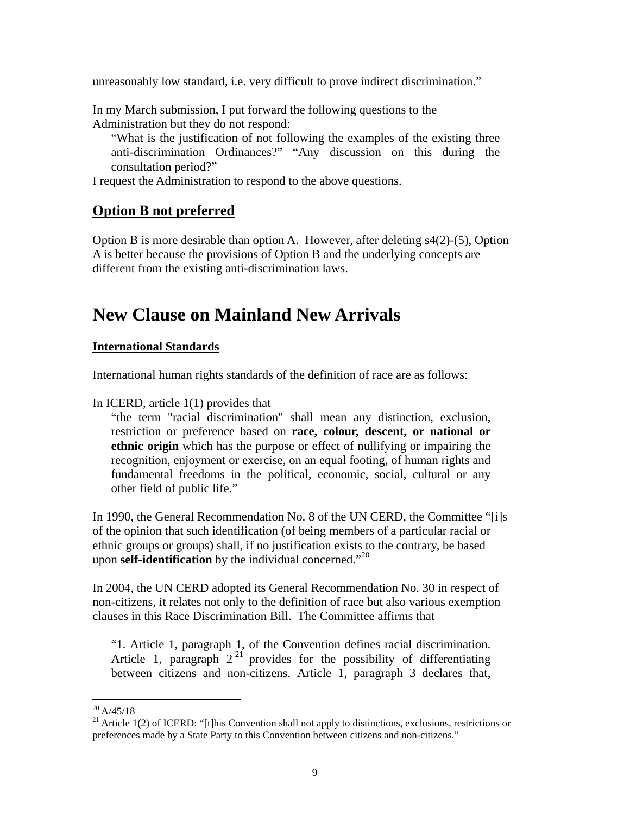unreasonably low standard, i.e. very difficult to prove indirect discrimination."

In my March submission, I put forward the following questions to the Administration but they do not respond:

"What is the justification of not following the examples of the existing three anti-discrimination Ordinances?" "Any discussion on this during the consultation period?"

I request the Administration to respond to the above questions.

### **Option B not preferred**

Option B is more desirable than option A. However, after deleting s4(2)-(5), Option A is better because the provisions of Option B and the underlying concepts are different from the existing anti-discrimination laws.

## **New Clause on Mainland New Arrivals**

#### **International Standards**

International human rights standards of the definition of race are as follows:

In ICERD, article 1(1) provides that

"the term "racial discrimination" shall mean any distinction, exclusion, restriction or preference based on **race, colour, descent, or national or ethnic origin** which has the purpose or effect of nullifying or impairing the recognition, enjoyment or exercise, on an equal footing, of human rights and fundamental freedoms in the political, economic, social, cultural or any other field of public life."

In 1990, the General Recommendation No. 8 of the UN CERD, the Committee "[i]s of the opinion that such identification (of being members of a particular racial or ethnic groups or groups) shall, if no justification exists to the contrary, be based upon **self-identification** by the individual concerned."<sup>20</sup>

In 2004, the UN CERD adopted its General Recommendation No. 30 in respect of non-citizens, it relates not only to the definition of race but also various exemption clauses in this Race Discrimination Bill. The Committee affirms that

"1. Article 1, paragraph 1, of the Convention defines racial discrimination. Article 1, paragraph  $2^{21}$  provides for the possibility of differentiating between citizens and non-citizens. Article 1, paragraph 3 declares that,

 $\overline{a}$  $^{20}$  A/45/18

 $21$  Article 1(2) of ICERD: "[t]his Convention shall not apply to distinctions, exclusions, restrictions or preferences made by a State Party to this Convention between citizens and non-citizens."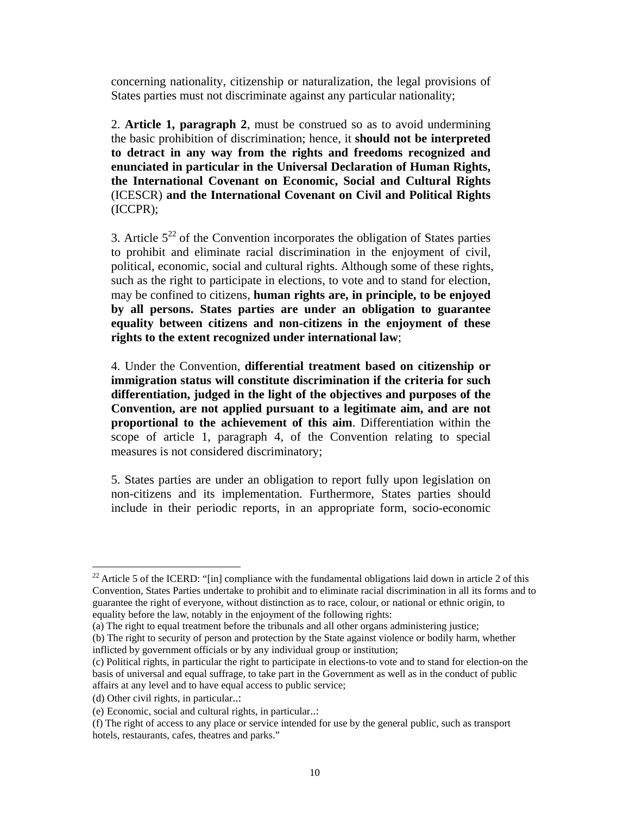concerning nationality, citizenship or naturalization, the legal provisions of States parties must not discriminate against any particular nationality;

2. **Article 1, paragraph 2**, must be construed so as to avoid undermining the basic prohibition of discrimination; hence, it **should not be interpreted to detract in any way from the rights and freedoms recognized and enunciated in particular in the Universal Declaration of Human Rights, the International Covenant on Economic, Social and Cultural Rights**  (ICESCR) **and the International Covenant on Civil and Political Rights** (ICCPR);

3. Article  $5^{22}$  of the Convention incorporates the obligation of States parties to prohibit and eliminate racial discrimination in the enjoyment of civil, political, economic, social and cultural rights. Although some of these rights, such as the right to participate in elections, to vote and to stand for election, may be confined to citizens, **human rights are, in principle, to be enjoyed by all persons. States parties are under an obligation to guarantee equality between citizens and non-citizens in the enjoyment of these rights to the extent recognized under international law**;

4. Under the Convention, **differential treatment based on citizenship or immigration status will constitute discrimination if the criteria for such differentiation, judged in the light of the objectives and purposes of the Convention, are not applied pursuant to a legitimate aim, and are not proportional to the achievement of this aim**. Differentiation within the scope of article 1, paragraph 4, of the Convention relating to special measures is not considered discriminatory;

5. States parties are under an obligation to report fully upon legislation on non-citizens and its implementation. Furthermore, States parties should include in their periodic reports, in an appropriate form, socio-economic

 $22$  Article 5 of the ICERD: "[in] compliance with the fundamental obligations laid down in article 2 of this Convention, States Parties undertake to prohibit and to eliminate racial discrimination in all its forms and to guarantee the right of everyone, without distinction as to race, colour, or national or ethnic origin, to equality before the law, notably in the enjoyment of the following rights:

<sup>(</sup>a) The right to equal treatment before the tribunals and all other organs administering justice;

<sup>(</sup>b) The right to security of person and protection by the State against violence or bodily harm, whether inflicted by government officials or by any individual group or institution;

<sup>(</sup>c) Political rights, in particular the right to participate in elections-to vote and to stand for election-on the basis of universal and equal suffrage, to take part in the Government as well as in the conduct of public affairs at any level and to have equal access to public service;

<sup>(</sup>d) Other civil rights, in particular..:

<sup>(</sup>e) Economic, social and cultural rights, in particular..:

<sup>(</sup>f) The right of access to any place or service intended for use by the general public, such as transport hotels, restaurants, cafes, theatres and parks."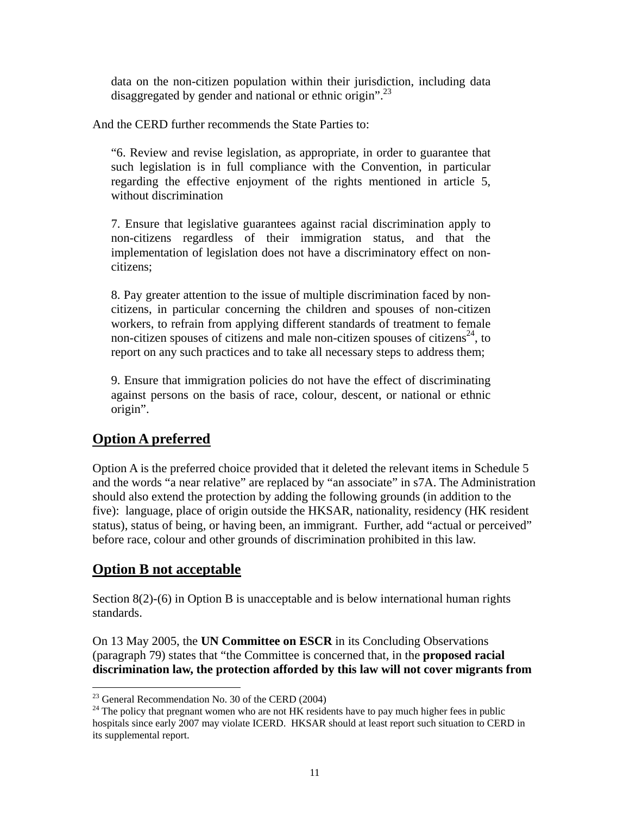data on the non-citizen population within their jurisdiction, including data disaggregated by gender and national or ethnic origin".<sup>23</sup>

And the CERD further recommends the State Parties to:

"6. Review and revise legislation, as appropriate, in order to guarantee that such legislation is in full compliance with the Convention, in particular regarding the effective enjoyment of the rights mentioned in article 5, without discrimination

7. Ensure that legislative guarantees against racial discrimination apply to non-citizens regardless of their immigration status, and that the implementation of legislation does not have a discriminatory effect on noncitizens;

8. Pay greater attention to the issue of multiple discrimination faced by noncitizens, in particular concerning the children and spouses of non-citizen workers, to refrain from applying different standards of treatment to female non-citizen spouses of citizens and male non-citizen spouses of citizens<sup>24</sup>, to report on any such practices and to take all necessary steps to address them;

9. Ensure that immigration policies do not have the effect of discriminating against persons on the basis of race, colour, descent, or national or ethnic origin".

#### **Option A preferred**

Option A is the preferred choice provided that it deleted the relevant items in Schedule 5 and the words "a near relative" are replaced by "an associate" in s7A. The Administration should also extend the protection by adding the following grounds (in addition to the five): language, place of origin outside the HKSAR, nationality, residency (HK resident status), status of being, or having been, an immigrant. Further, add "actual or perceived" before race, colour and other grounds of discrimination prohibited in this law.

#### **Option B not acceptable**

 $\overline{a}$ 

Section 8(2)-(6) in Option B is unacceptable and is below international human rights standards.

On 13 May 2005, the **UN Committee on ESCR** in its Concluding Observations (paragraph 79) states that "the Committee is concerned that, in the **proposed racial discrimination law, the protection afforded by this law will not cover migrants from** 

 $^{23}$  General Recommendation No. 30 of the CERD (2004)

 $24$  The policy that pregnant women who are not HK residents have to pay much higher fees in public hospitals since early 2007 may violate ICERD. HKSAR should at least report such situation to CERD in its supplemental report.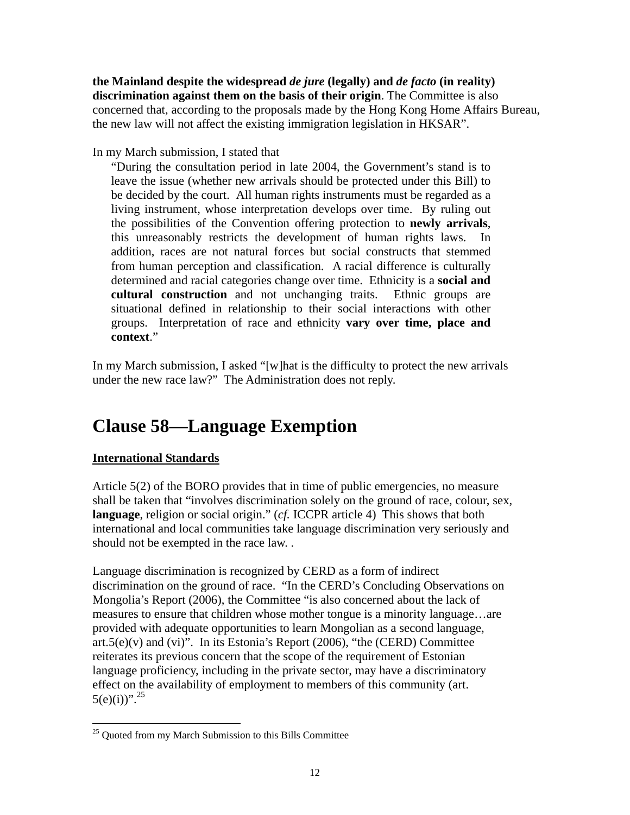**the Mainland despite the widespread** *de jure* **(legally) and** *de facto* **(in reality) discrimination against them on the basis of their origin**. The Committee is also concerned that, according to the proposals made by the Hong Kong Home Affairs Bureau, the new law will not affect the existing immigration legislation in HKSAR".

In my March submission, I stated that

"During the consultation period in late 2004, the Government's stand is to leave the issue (whether new arrivals should be protected under this Bill) to be decided by the court. All human rights instruments must be regarded as a living instrument, whose interpretation develops over time. By ruling out the possibilities of the Convention offering protection to **newly arrivals**, this unreasonably restricts the development of human rights laws. In addition, races are not natural forces but social constructs that stemmed from human perception and classification. A racial difference is culturally determined and racial categories change over time. Ethnicity is a **social and cultural construction** and not unchanging traits. Ethnic groups are situational defined in relationship to their social interactions with other groups. Interpretation of race and ethnicity **vary over time, place and context**."

In my March submission, I asked "[w]hat is the difficulty to protect the new arrivals under the new race law?" The Administration does not reply.

# **Clause 58—Language Exemption**

#### **International Standards**

Article 5(2) of the BORO provides that in time of public emergencies, no measure shall be taken that "involves discrimination solely on the ground of race, colour, sex, **language**, religion or social origin." (*cf.* ICCPR article 4) This shows that both international and local communities take language discrimination very seriously and should not be exempted in the race law. .

Language discrimination is recognized by CERD as a form of indirect discrimination on the ground of race. "In the CERD's Concluding Observations on Mongolia's Report (2006), the Committee "is also concerned about the lack of measures to ensure that children whose mother tongue is a minority language…are provided with adequate opportunities to learn Mongolian as a second language, art.5(e)(v) and (vi)". In its Estonia's Report  $(2006)$ , "the (CERD) Committee reiterates its previous concern that the scope of the requirement of Estonian language proficiency, including in the private sector, may have a discriminatory effect on the availability of employment to members of this community (art.  $5(e)(i))$ ".<sup>25</sup>

 $\overline{a}$ <sup>25</sup> Quoted from my March Submission to this Bills Committee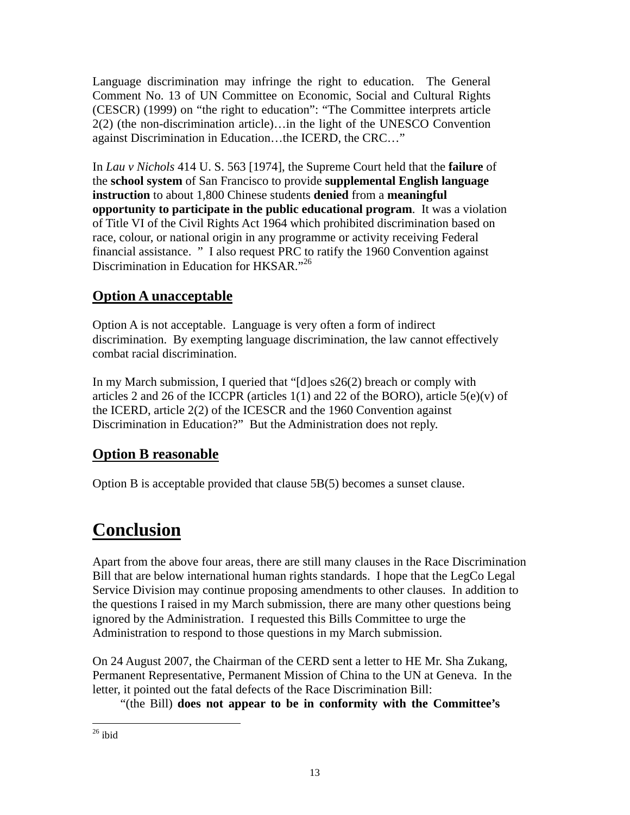Language discrimination may infringe the right to education. The General Comment No. 13 of UN Committee on Economic, Social and Cultural Rights (CESCR) (1999) on "the right to education": "The Committee interprets article 2(2) (the non-discrimination article)…in the light of the UNESCO Convention against Discrimination in Education…the ICERD, the CRC…"

In *Lau v Nichols* 414 U. S. 563 [1974], the Supreme Court held that the **failure** of the **school system** of San Francisco to provide **supplemental English language instruction** to about 1,800 Chinese students **denied** from a **meaningful opportunity to participate in the public educational program**. It was a violation of Title VI of the Civil Rights Act 1964 which prohibited discrimination based on race, colour, or national origin in any programme or activity receiving Federal financial assistance. " I also request PRC to ratify the 1960 Convention against Discrimination in Education for HKSAR."<sup>26</sup>

### **Option A unacceptable**

Option A is not acceptable. Language is very often a form of indirect discrimination. By exempting language discrimination, the law cannot effectively combat racial discrimination.

In my March submission, I queried that "[d]oes s26(2) breach or comply with articles 2 and 26 of the ICCPR (articles  $1(1)$  and 22 of the BORO), article  $5(e)(v)$  of the ICERD, article 2(2) of the ICESCR and the 1960 Convention against Discrimination in Education?" But the Administration does not reply.

## **Option B reasonable**

Option B is acceptable provided that clause 5B(5) becomes a sunset clause.

# **Conclusion**

Apart from the above four areas, there are still many clauses in the Race Discrimination Bill that are below international human rights standards. I hope that the LegCo Legal Service Division may continue proposing amendments to other clauses. In addition to the questions I raised in my March submission, there are many other questions being ignored by the Administration. I requested this Bills Committee to urge the Administration to respond to those questions in my March submission.

On 24 August 2007, the Chairman of the CERD sent a letter to HE Mr. Sha Zukang, Permanent Representative, Permanent Mission of China to the UN at Geneva. In the letter, it pointed out the fatal defects of the Race Discrimination Bill:

"(the Bill) **does not appear to be in conformity with the Committee's** 

<sup>&</sup>lt;u>.</u>  $26$  ibid